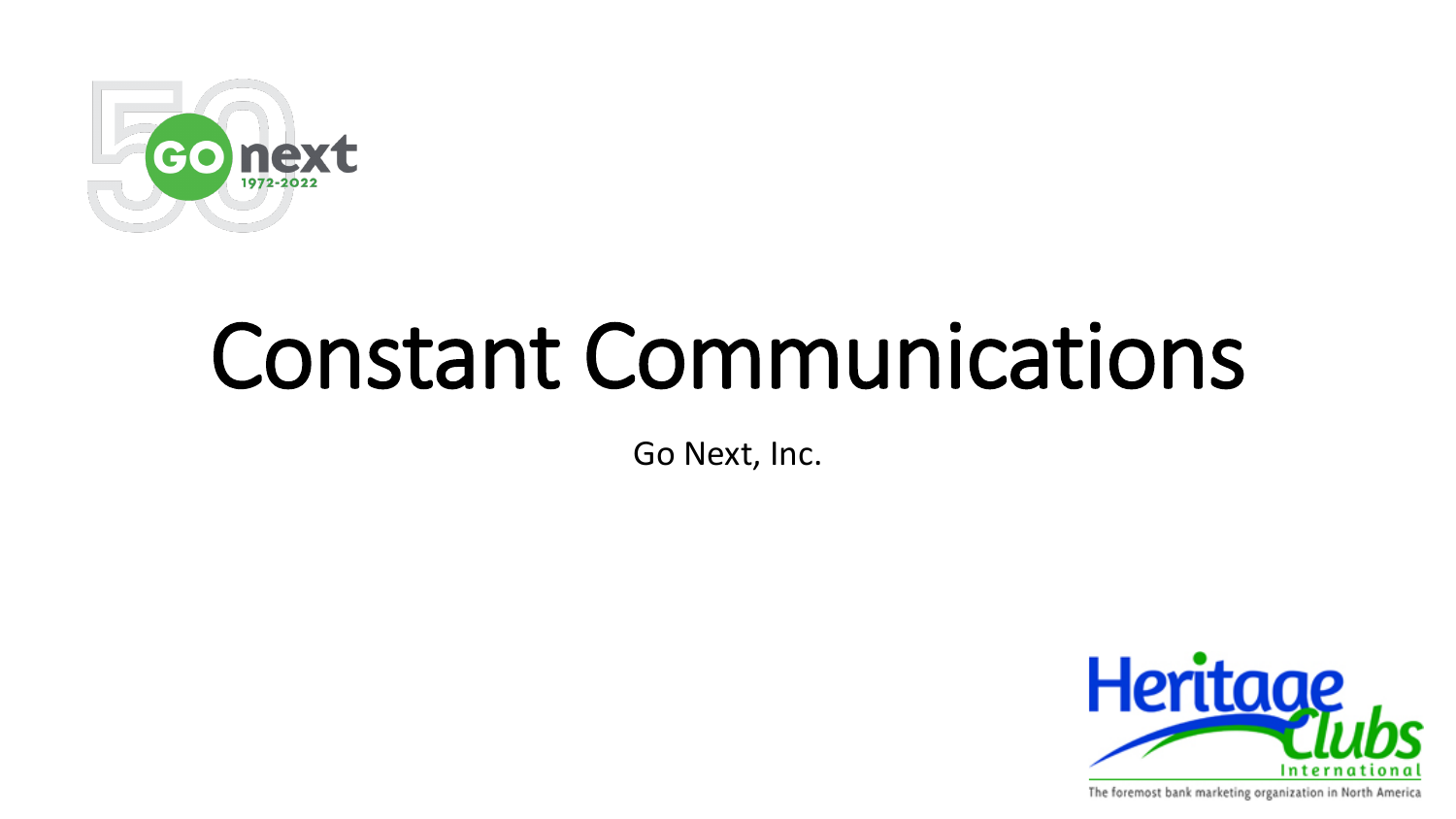

# Constant Communications

Go Next, Inc.



The foremost bank marketing organization in North America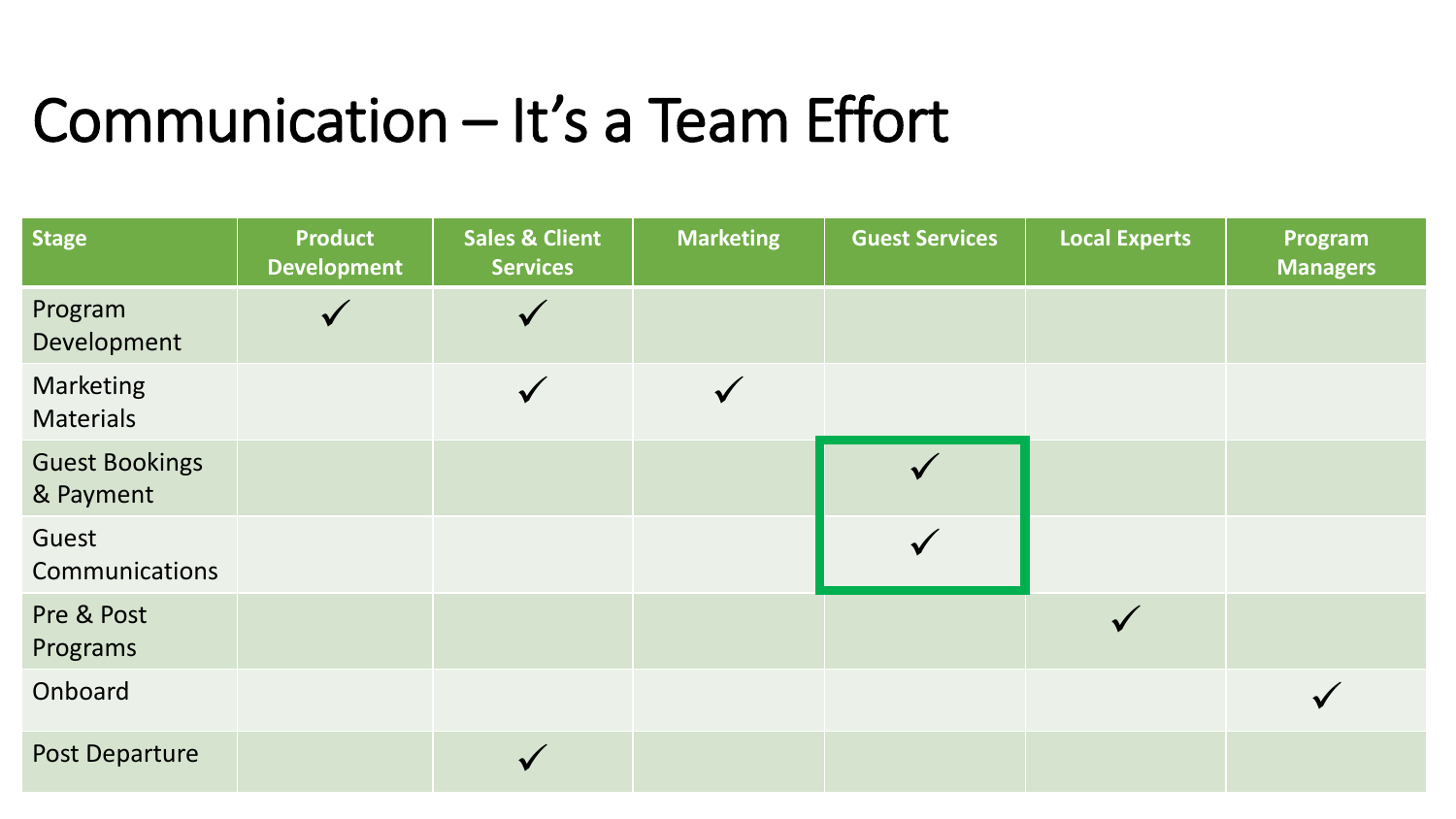### Communication – It's a Team Effort

| <b>Stage</b>                       | <b>Product</b><br><b>Development</b> | <b>Sales &amp; Client</b><br><b>Services</b> | <b>Marketing</b> | <b>Guest Services</b> | <b>Local Experts</b> | Program<br><b>Managers</b> |
|------------------------------------|--------------------------------------|----------------------------------------------|------------------|-----------------------|----------------------|----------------------------|
| Program<br>Development             |                                      |                                              |                  |                       |                      |                            |
| Marketing<br><b>Materials</b>      |                                      | $\checkmark$                                 |                  |                       |                      |                            |
| <b>Guest Bookings</b><br>& Payment |                                      |                                              |                  |                       |                      |                            |
| Guest<br>Communications            |                                      |                                              |                  |                       |                      |                            |
| Pre & Post<br>Programs             |                                      |                                              |                  |                       |                      |                            |
| Onboard                            |                                      |                                              |                  |                       |                      |                            |
| Post Departure                     |                                      |                                              |                  |                       |                      |                            |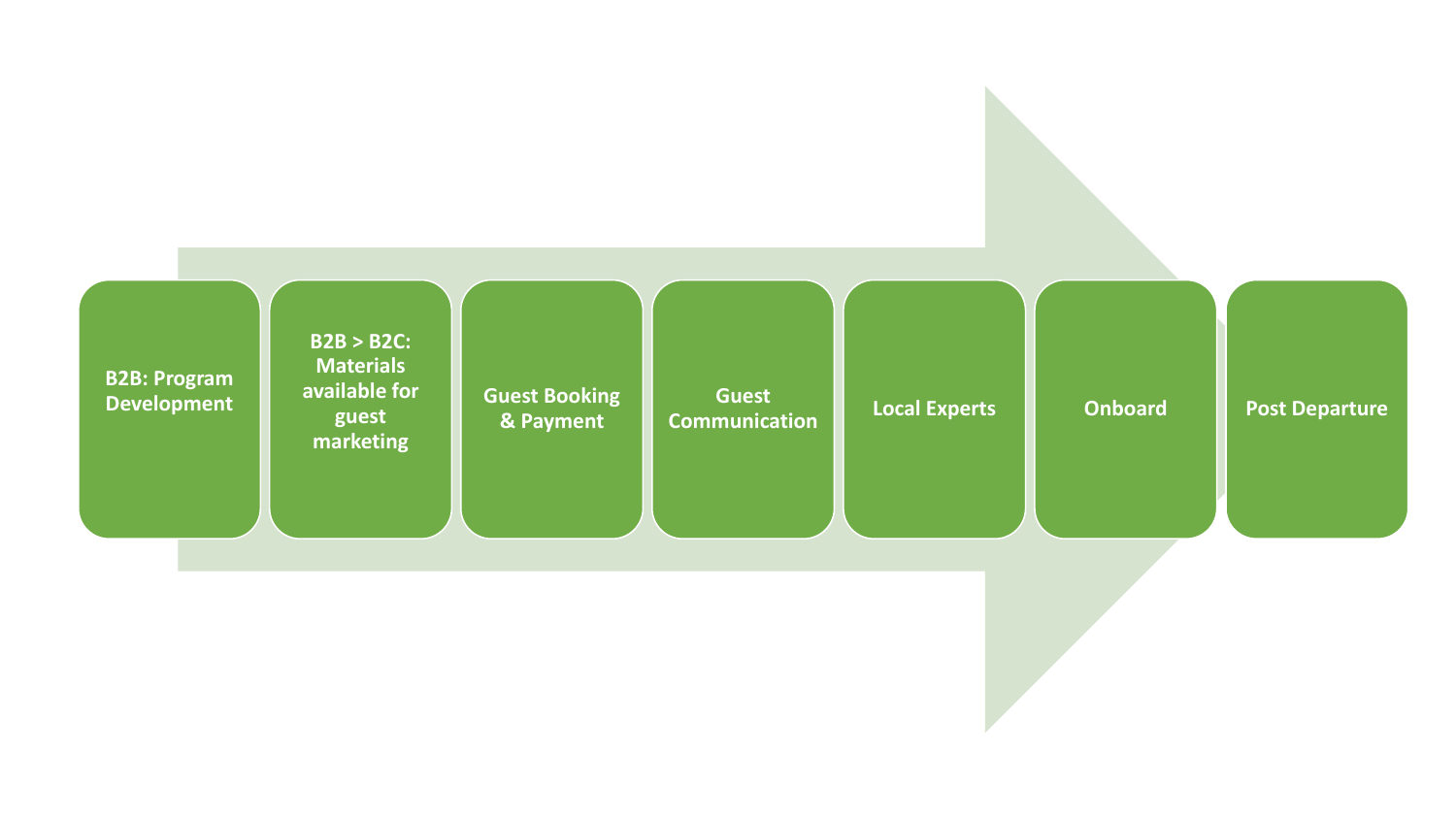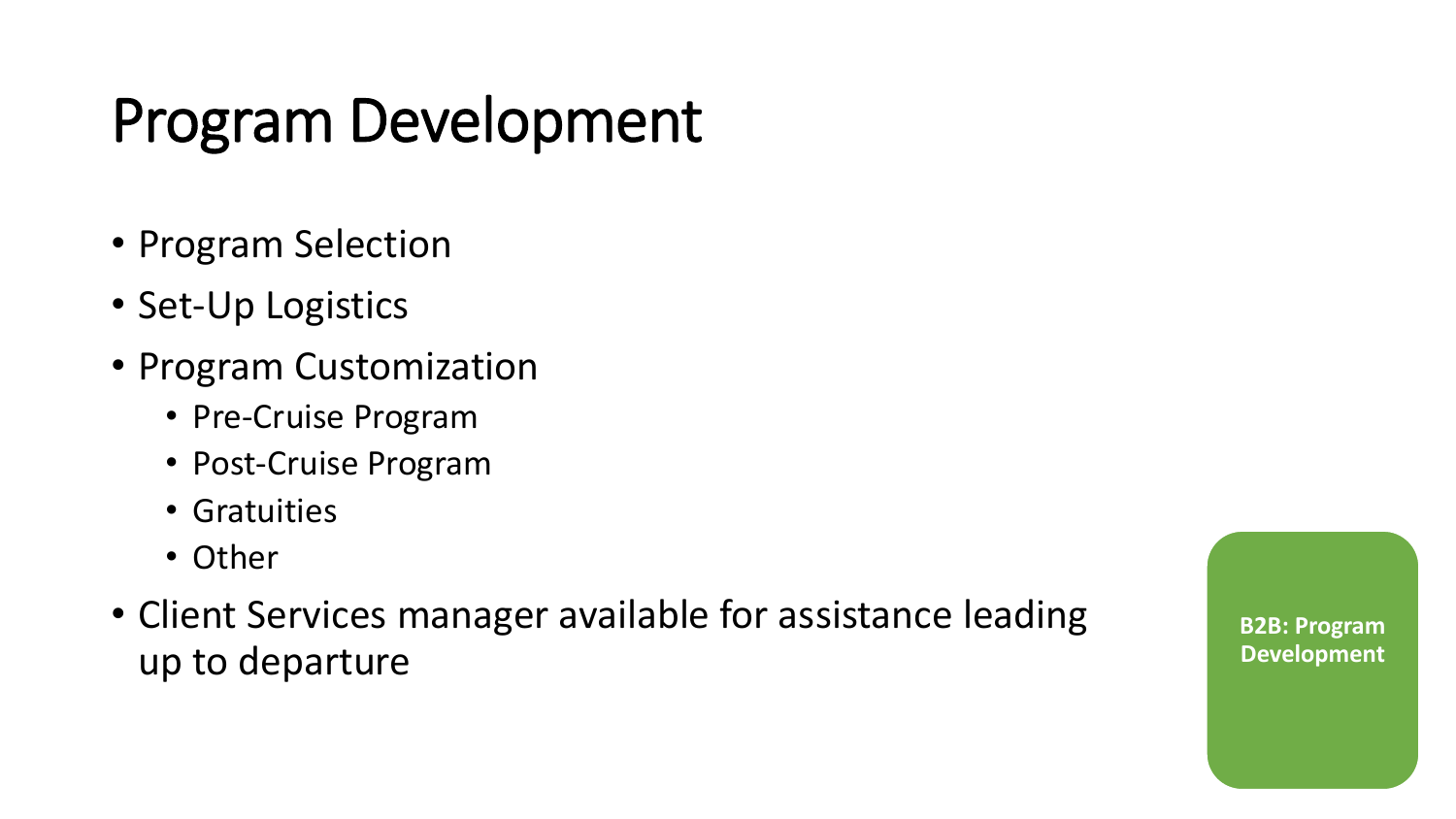### Program Development

- Program Selection
- Set-Up Logistics
- Program Customization
	- Pre-Cruise Program
	- Post-Cruise Program
	- Gratuities
	- Other
- Client Services manager available for assistance leading up to departure

**B2B: Program Development**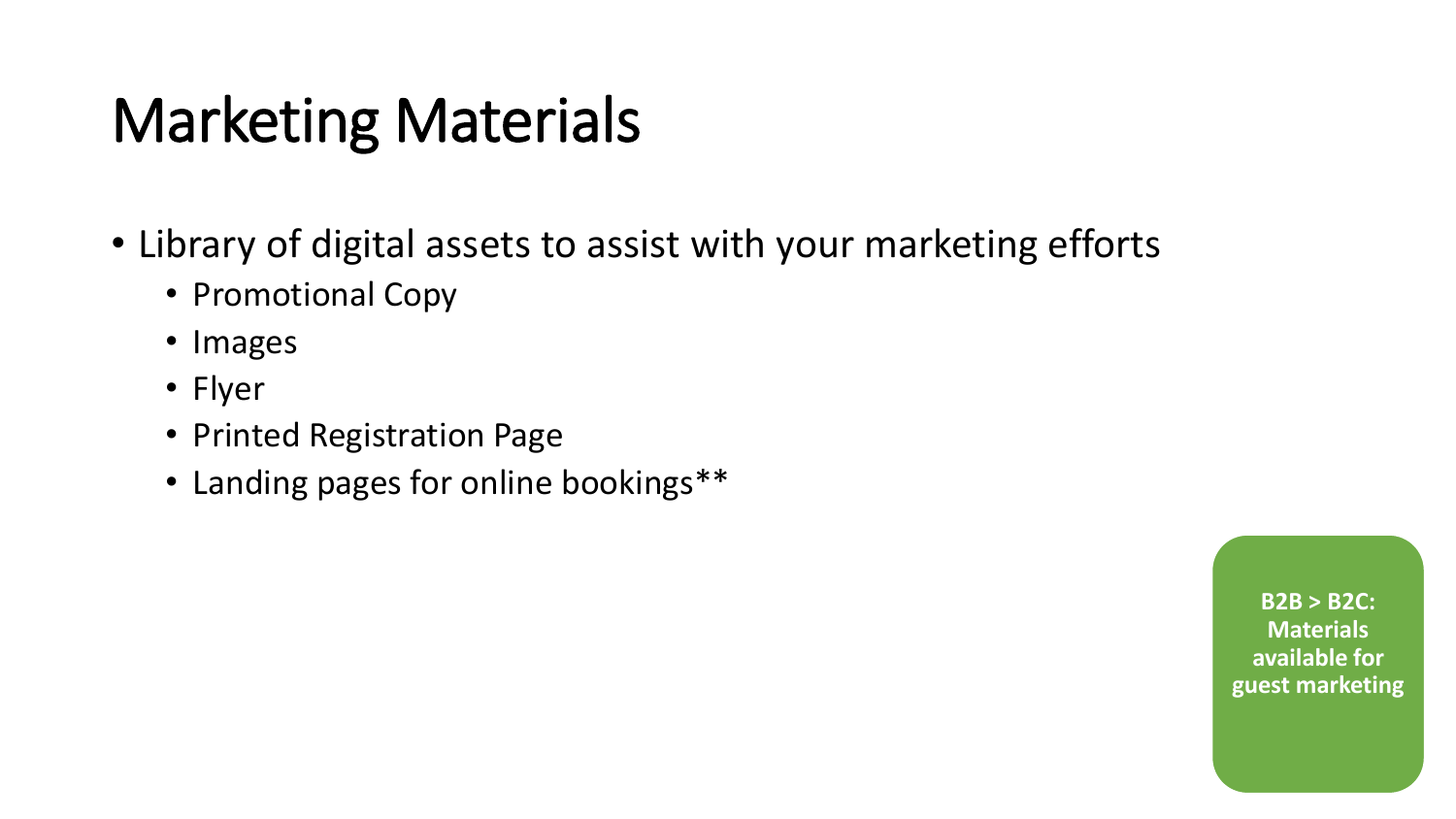### Marketing Materials

- Library of digital assets to assist with your marketing efforts
	- Promotional Copy
	- Images
	- Flyer
	- Printed Registration Page
	- Landing pages for online bookings\*\*

**B2B > B2C: Materials available for guest marketing**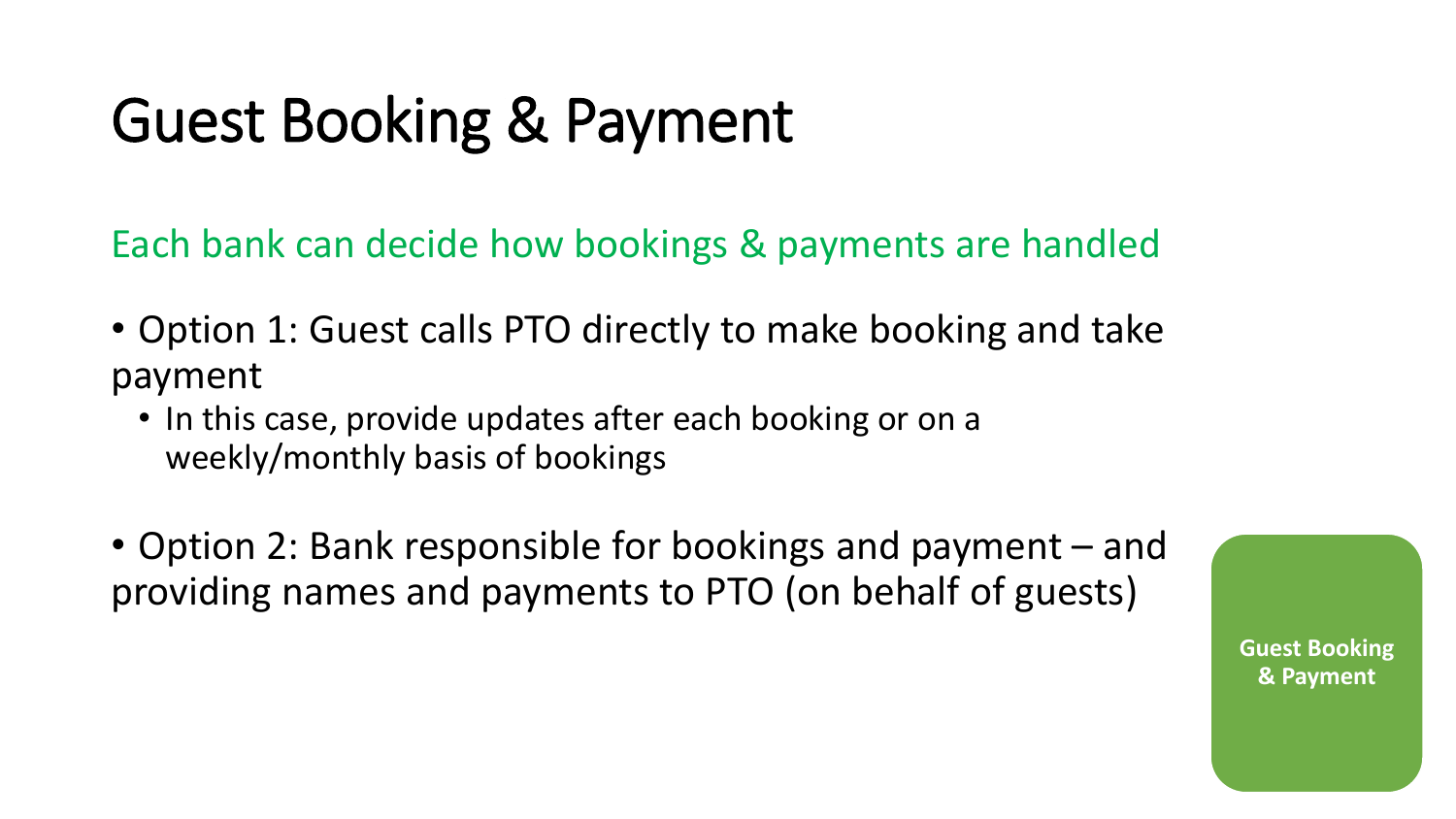### Guest Booking & Payment

Each bank can decide how bookings & payments are handled

- Option 1: Guest calls PTO directly to make booking and take payment
	- In this case, provide updates after each booking or on a weekly/monthly basis of bookings
- Option 2: Bank responsible for bookings and payment and providing names and payments to PTO (on behalf of guests)

**Guest Booking & Payment**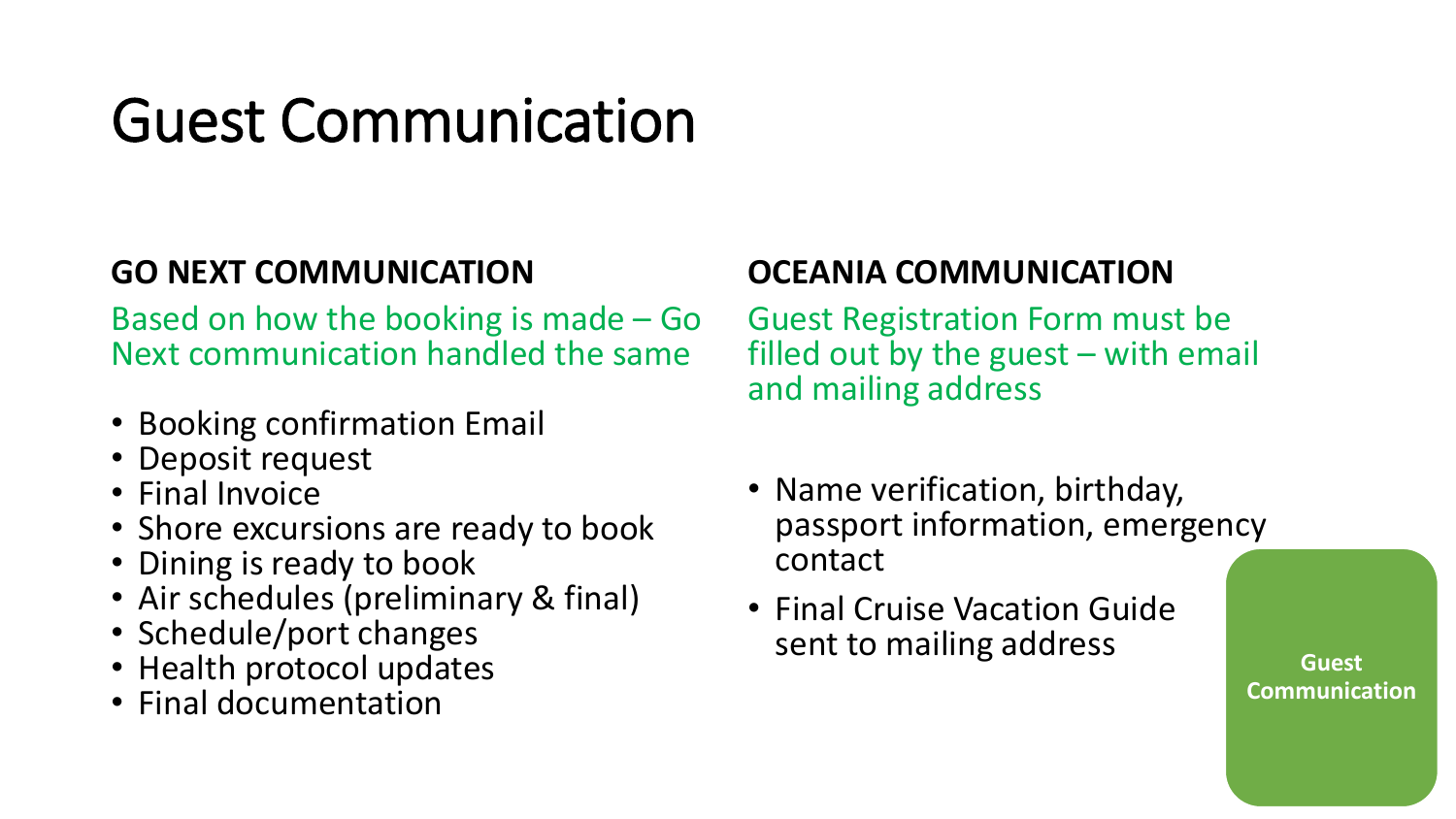### Guest Communication

#### **GO NEXT COMMUNICATION**

Based on how the booking is made – Go Next communication handled the same

- Booking confirmation Email
- Deposit request
- Final Invoice
- Shore excursions are ready to book
- Dining is ready to book
- Air schedules (preliminary & final)
- Schedule/port changes
- Health protocol updates
- Final documentation

#### **OCEANIA COMMUNICATION**

Guest Registration Form must be filled out by the guest  $-$  with email and mailing address

- Name verification, birthday, passport information, emergency contact
- Final Cruise Vacation Guide sent to mailing address **CONFINGLER**

**Communication**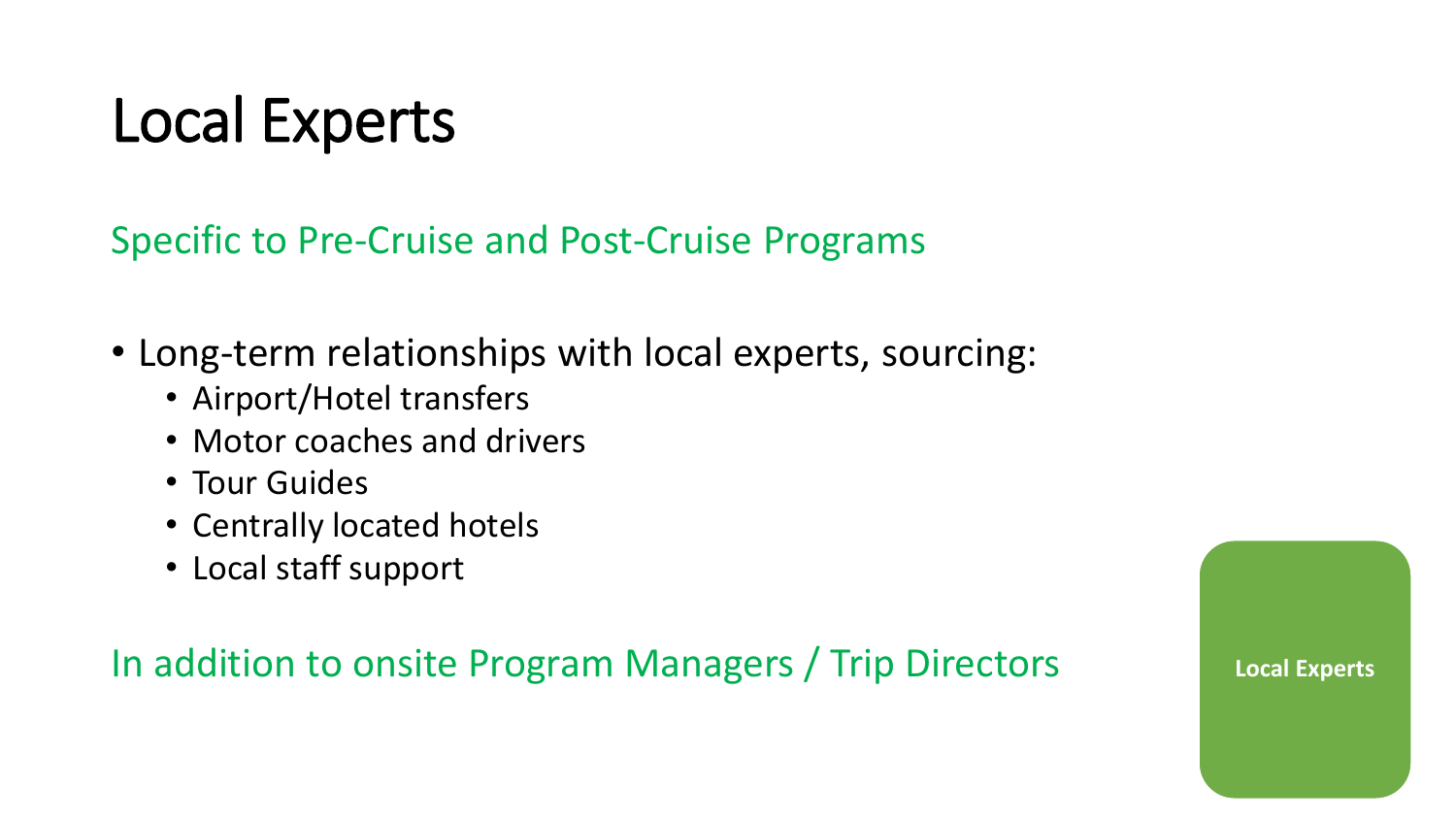### Local Experts

Specific to Pre-Cruise and Post-Cruise Programs

- Long-term relationships with local experts, sourcing:
	- Airport/Hotel transfers
	- Motor coaches and drivers
	- Tour Guides
	- Centrally located hotels
	- Local staff support

### In addition to onsite Program Managers / Trip Directors **Local Experts**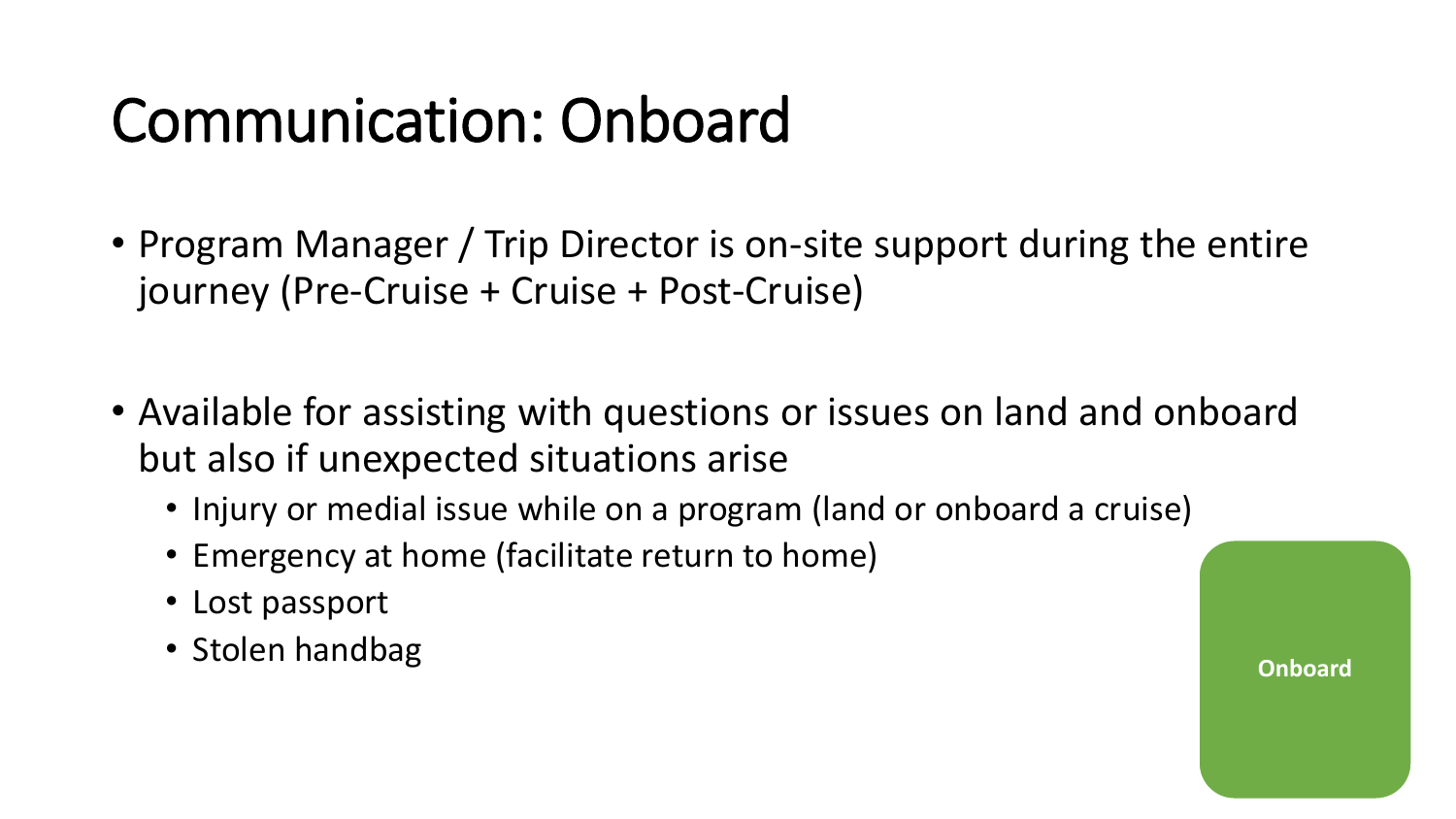### Communication: Onboard

- Program Manager / Trip Director is on-site support during the entire journey (Pre-Cruise + Cruise + Post-Cruise)
- Available for assisting with questions or issues on land and onboard but also if unexpected situations arise
	- Injury or medial issue while on a program (land or onboard a cruise)
	- Emergency at home (facilitate return to home)
	- Lost passport
	- Stolen handbag **Onboard**